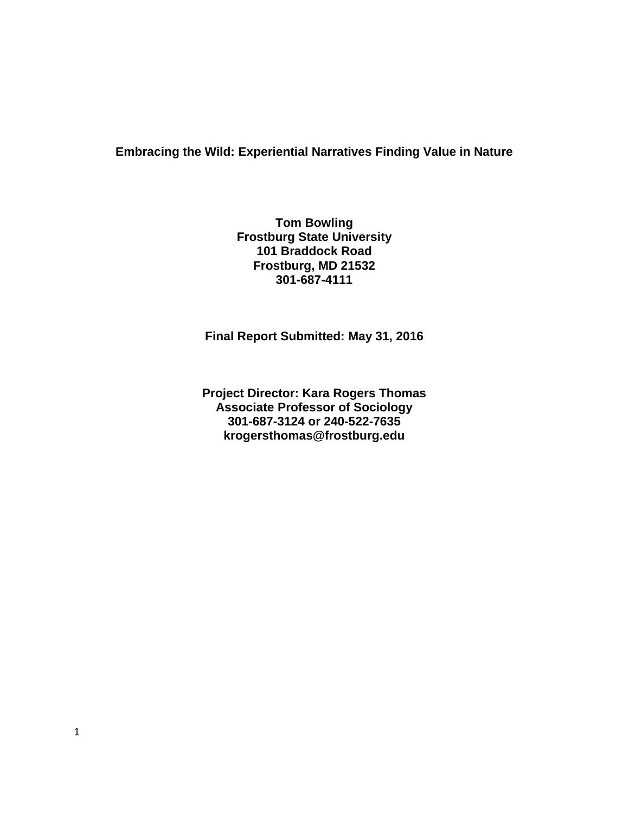### **Embracing the Wild: Experiential Narratives Finding Value in Nature**

**Tom Bowling Frostburg State University 101 Braddock Road Frostburg, MD 21532 301-687-4111**

**Final Report Submitted: May 31, 2016**

**Project Director: Kara Rogers Thomas Associate Professor of Sociology 301-687-3124 or 240-522-7635 krogersthomas@frostburg.edu**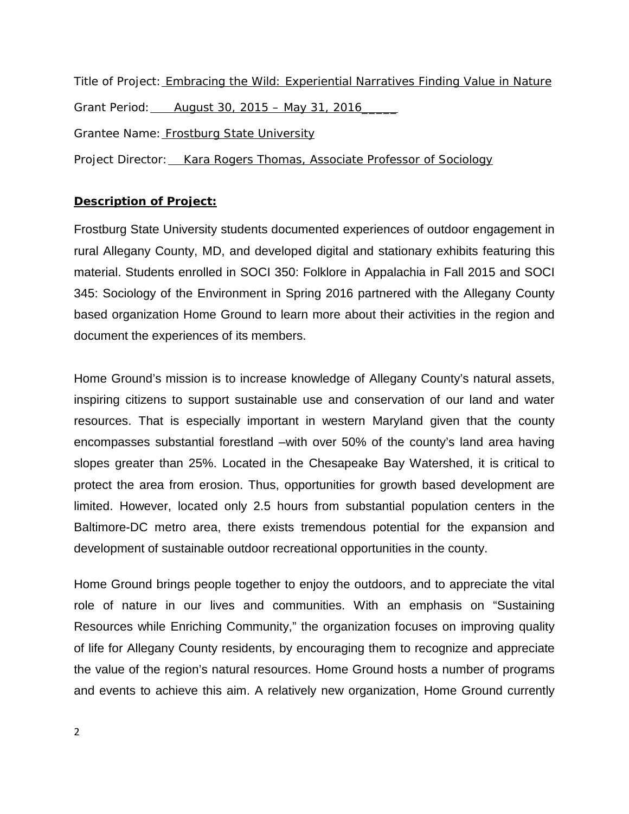Title of Project: **Embracing the Wild: Experiential Narratives Finding Value in Nature** Grant Period: August 30, 2015 – May 31, 2016 Grantee Name: Frostburg State University Project Director: Kara Rogers Thomas, Associate Professor of Sociology

### **Description of Project:**

Frostburg State University students documented experiences of outdoor engagement in rural Allegany County, MD, and developed digital and stationary exhibits featuring this material. Students enrolled in SOCI 350: Folklore in Appalachia in Fall 2015 and SOCI 345: Sociology of the Environment in Spring 2016 partnered with the Allegany County based organization Home Ground to learn more about their activities in the region and document the experiences of its members.

Home Ground's mission is to increase knowledge of Allegany County's natural assets, inspiring citizens to support sustainable use and conservation of our land and water resources. That is especially important in western Maryland given that the county encompasses substantial forestland –with over 50% of the county's land area having slopes greater than 25%. Located in the Chesapeake Bay Watershed, it is critical to protect the area from erosion. Thus, opportunities for growth based development are limited. However, located only 2.5 hours from substantial population centers in the Baltimore-DC metro area, there exists tremendous potential for the expansion and development of sustainable outdoor recreational opportunities in the county.

Home Ground brings people together to enjoy the outdoors, and to appreciate the vital role of nature in our lives and communities. With an emphasis on "Sustaining Resources while Enriching Community," the organization focuses on improving quality of life for Allegany County residents, by encouraging them to recognize and appreciate the value of the region's natural resources. Home Ground hosts a number of programs and events to achieve this aim. A relatively new organization, Home Ground currently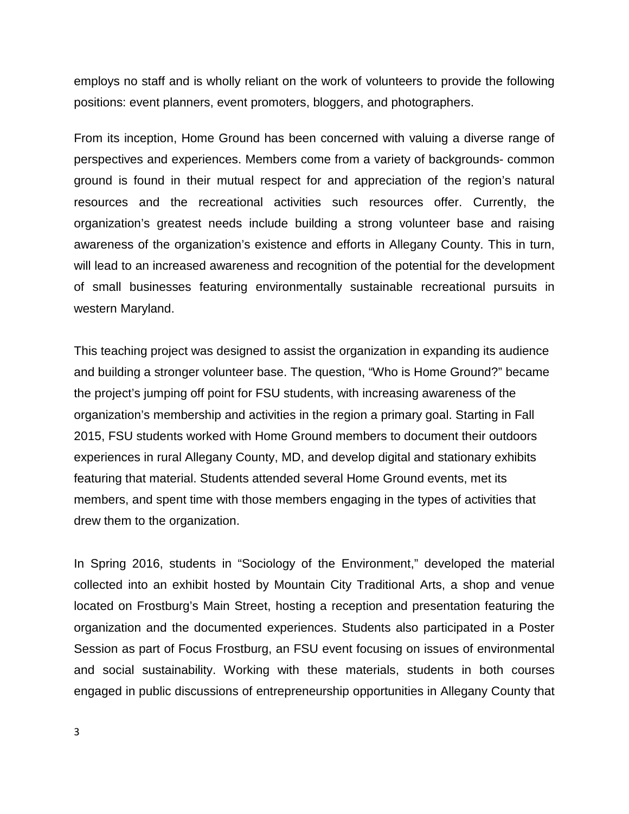employs no staff and is wholly reliant on the work of volunteers to provide the following positions: event planners, event promoters, bloggers, and photographers.

From its inception, Home Ground has been concerned with valuing a diverse range of perspectives and experiences. Members come from a variety of backgrounds- common ground is found in their mutual respect for and appreciation of the region's natural resources and the recreational activities such resources offer. Currently, the organization's greatest needs include building a strong volunteer base and raising awareness of the organization's existence and efforts in Allegany County. This in turn, will lead to an increased awareness and recognition of the potential for the development of small businesses featuring environmentally sustainable recreational pursuits in western Maryland.

This teaching project was designed to assist the organization in expanding its audience and building a stronger volunteer base. The question, "Who is Home Ground?" became the project's jumping off point for FSU students, with increasing awareness of the organization's membership and activities in the region a primary goal. Starting in Fall 2015, FSU students worked with Home Ground members to document their outdoors experiences in rural Allegany County, MD, and develop digital and stationary exhibits featuring that material. Students attended several Home Ground events, met its members, and spent time with those members engaging in the types of activities that drew them to the organization.

In Spring 2016, students in "Sociology of the Environment," developed the material collected into an exhibit hosted by Mountain City Traditional Arts, a shop and venue located on Frostburg's Main Street, hosting a reception and presentation featuring the organization and the documented experiences. Students also participated in a Poster Session as part of Focus Frostburg, an FSU event focusing on issues of environmental and social sustainability. Working with these materials, students in both courses engaged in public discussions of entrepreneurship opportunities in Allegany County that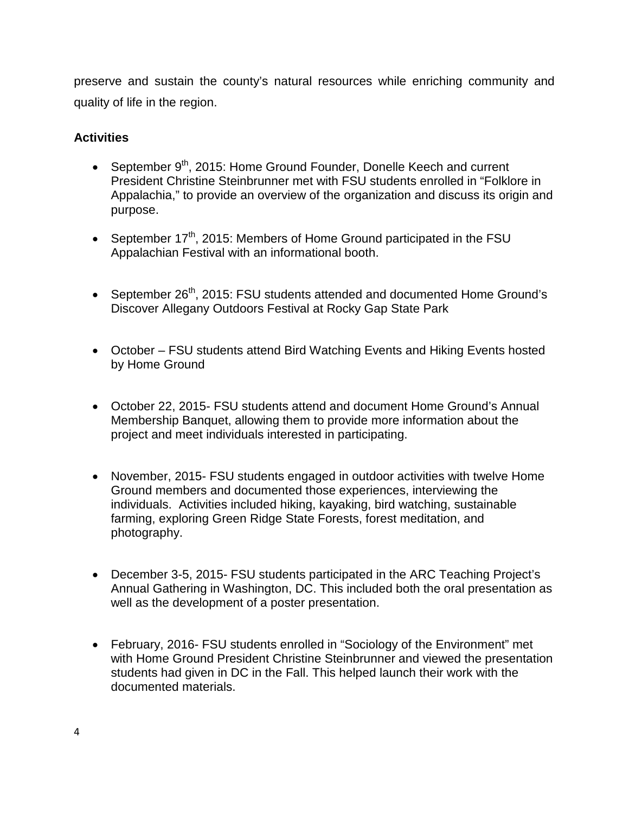preserve and sustain the county's natural resources while enriching community and quality of life in the region.

### **Activities**

- September  $9<sup>th</sup>$ , 2015: Home Ground Founder, Donelle Keech and current President Christine Steinbrunner met with FSU students enrolled in "Folklore in Appalachia," to provide an overview of the organization and discuss its origin and purpose.
- September  $17<sup>th</sup>$ , 2015: Members of Home Ground participated in the FSU Appalachian Festival with an informational booth.
- September 26<sup>th</sup>, 2015: FSU students attended and documented Home Ground's Discover Allegany Outdoors Festival at Rocky Gap State Park
- October FSU students attend Bird Watching Events and Hiking Events hosted by Home Ground
- October 22, 2015- FSU students attend and document Home Ground's Annual Membership Banquet, allowing them to provide more information about the project and meet individuals interested in participating.
- November, 2015- FSU students engaged in outdoor activities with twelve Home Ground members and documented those experiences, interviewing the individuals. Activities included hiking, kayaking, bird watching, sustainable farming, exploring Green Ridge State Forests, forest meditation, and photography.
- December 3-5, 2015- FSU students participated in the ARC Teaching Project's Annual Gathering in Washington, DC. This included both the oral presentation as well as the development of a poster presentation.
- February, 2016- FSU students enrolled in "Sociology of the Environment" met with Home Ground President Christine Steinbrunner and viewed the presentation students had given in DC in the Fall. This helped launch their work with the documented materials.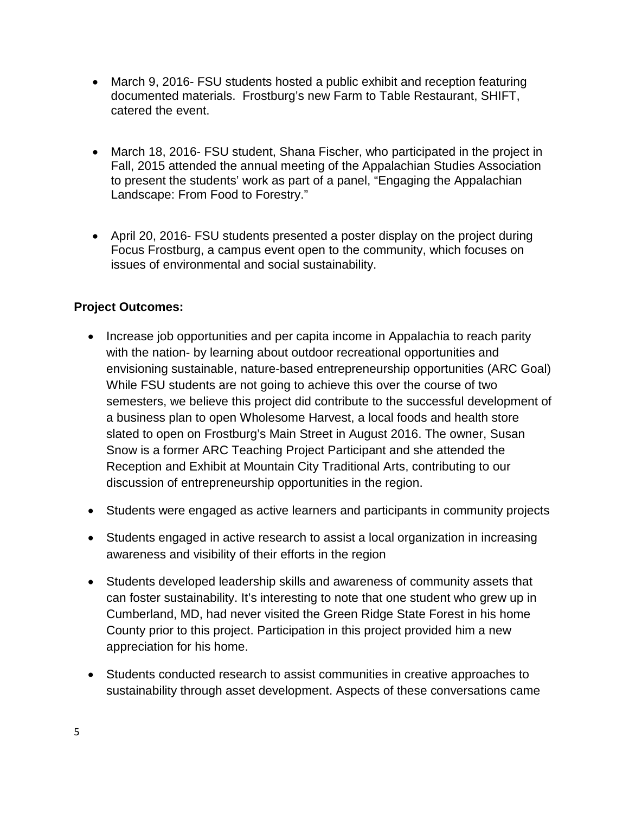- March 9, 2016- FSU students hosted a public exhibit and reception featuring documented materials. Frostburg's new Farm to Table Restaurant, SHIFT, catered the event.
- March 18, 2016- FSU student, Shana Fischer, who participated in the project in Fall, 2015 attended the annual meeting of the Appalachian Studies Association to present the students' work as part of a panel, "Engaging the Appalachian Landscape: From Food to Forestry."
- April 20, 2016- FSU students presented a poster display on the project during Focus Frostburg, a campus event open to the community, which focuses on issues of environmental and social sustainability.

# **Project Outcomes:**

- Increase job opportunities and per capita income in Appalachia to reach parity with the nation- by learning about outdoor recreational opportunities and envisioning sustainable, nature-based entrepreneurship opportunities (ARC Goal) While FSU students are not going to achieve this over the course of two semesters, we believe this project did contribute to the successful development of a business plan to open Wholesome Harvest, a local foods and health store slated to open on Frostburg's Main Street in August 2016. The owner, Susan Snow is a former ARC Teaching Project Participant and she attended the Reception and Exhibit at Mountain City Traditional Arts, contributing to our discussion of entrepreneurship opportunities in the region.
- Students were engaged as active learners and participants in community projects
- Students engaged in active research to assist a local organization in increasing awareness and visibility of their efforts in the region
- Students developed leadership skills and awareness of community assets that can foster sustainability. It's interesting to note that one student who grew up in Cumberland, MD, had never visited the Green Ridge State Forest in his home County prior to this project. Participation in this project provided him a new appreciation for his home.
- Students conducted research to assist communities in creative approaches to sustainability through asset development. Aspects of these conversations came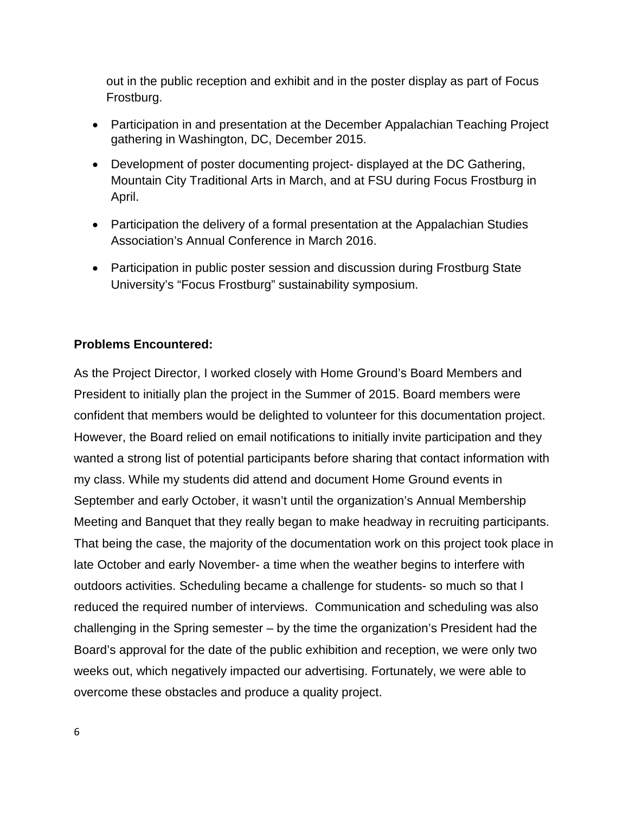out in the public reception and exhibit and in the poster display as part of Focus Frostburg.

- Participation in and presentation at the December Appalachian Teaching Project gathering in Washington, DC, December 2015.
- Development of poster documenting project- displayed at the DC Gathering, Mountain City Traditional Arts in March, and at FSU during Focus Frostburg in April.
- Participation the delivery of a formal presentation at the Appalachian Studies Association's Annual Conference in March 2016.
- Participation in public poster session and discussion during Frostburg State University's "Focus Frostburg" sustainability symposium.

# **Problems Encountered:**

As the Project Director, I worked closely with Home Ground's Board Members and President to initially plan the project in the Summer of 2015. Board members were confident that members would be delighted to volunteer for this documentation project. However, the Board relied on email notifications to initially invite participation and they wanted a strong list of potential participants before sharing that contact information with my class. While my students did attend and document Home Ground events in September and early October, it wasn't until the organization's Annual Membership Meeting and Banquet that they really began to make headway in recruiting participants. That being the case, the majority of the documentation work on this project took place in late October and early November- a time when the weather begins to interfere with outdoors activities. Scheduling became a challenge for students- so much so that I reduced the required number of interviews. Communication and scheduling was also challenging in the Spring semester – by the time the organization's President had the Board's approval for the date of the public exhibition and reception, we were only two weeks out, which negatively impacted our advertising. Fortunately, we were able to overcome these obstacles and produce a quality project.